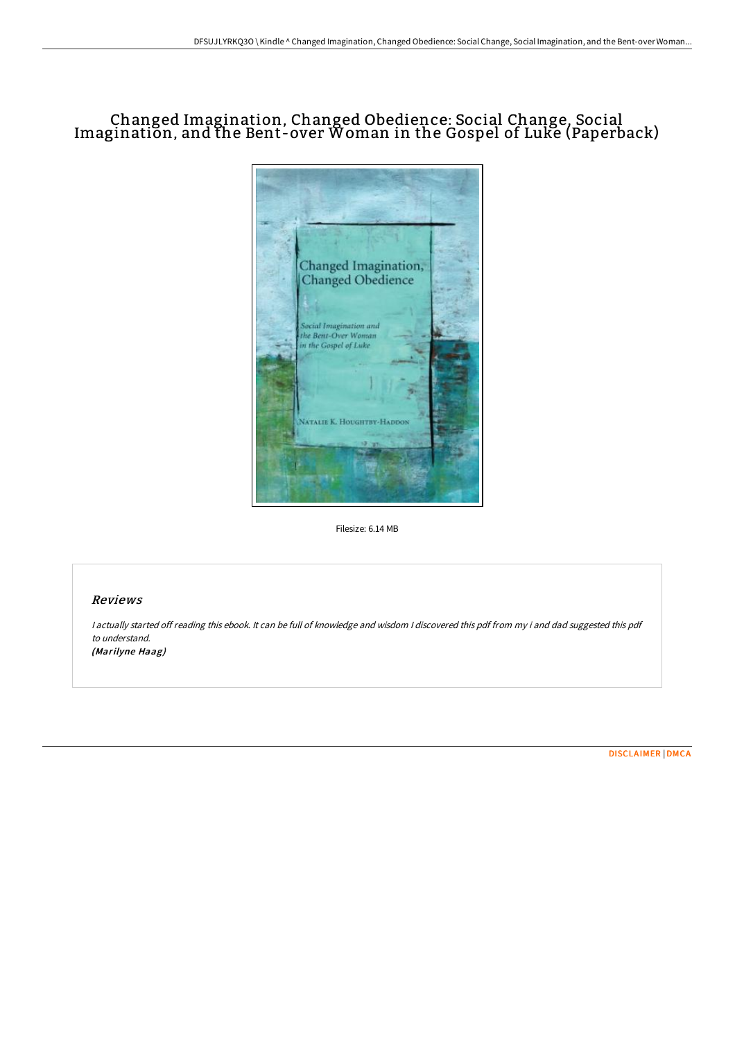# Changed Imagination, Changed Obedience: Social Change, Social Imagination, and the Bent-over Woman in the Gospel of Luke (Paperback)



Filesize: 6.14 MB

## Reviews

<sup>I</sup> actually started off reading this ebook. It can be full of knowledge and wisdom <sup>I</sup> discovered this pdf from my i and dad suggested this pdf to understand. (Marilyne Haag)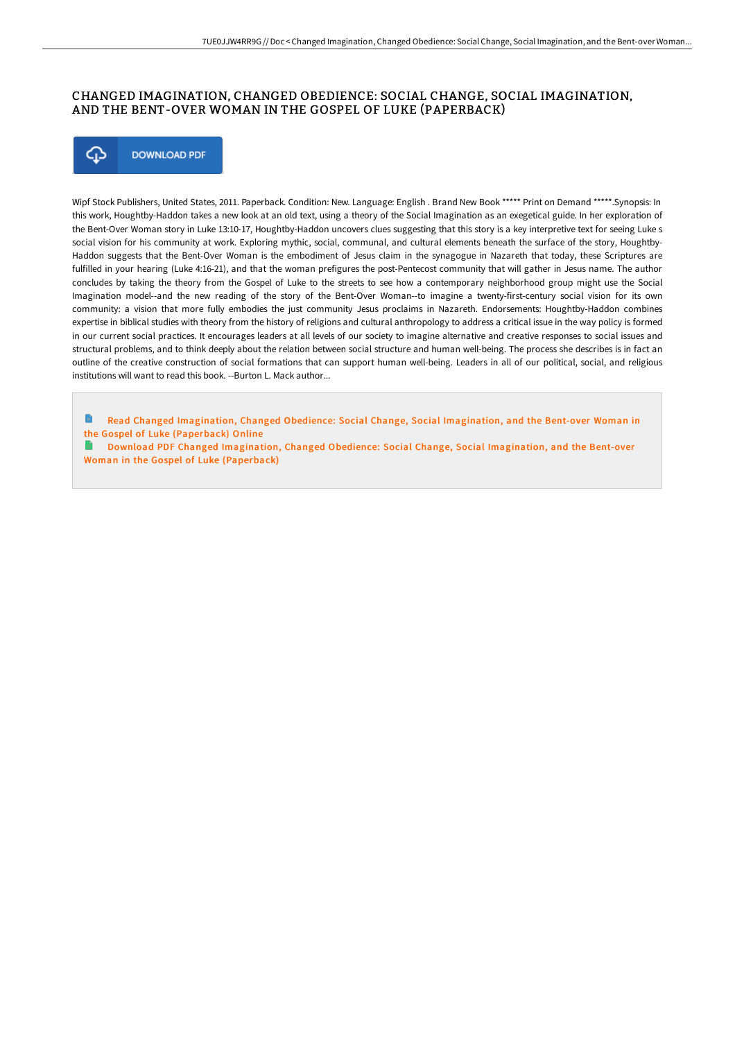### CHANGED IMAGINATION, CHANGED OBEDIENCE: SOCIAL CHANGE, SOCIAL IMAGINATION, AND THE BENT-OVER WOMAN IN THE GOSPEL OF LUKE (PAPERBACK)



Wipf Stock Publishers, United States, 2011. Paperback. Condition: New. Language: English . Brand New Book \*\*\*\*\* Print on Demand \*\*\*\*\*.Synopsis: In this work, Houghtby-Haddon takes a new look at an old text, using a theory of the Social Imagination as an exegetical guide. In her exploration of the Bent-Over Woman story in Luke 13:10-17, Houghtby-Haddon uncovers clues suggesting that this story is a key interpretive text for seeing Luke s social vision for his community at work. Exploring mythic, social, communal, and cultural elements beneath the surface of the story, Houghtby-Haddon suggests that the Bent-Over Woman is the embodiment of Jesus claim in the synagogue in Nazareth that today, these Scriptures are fulfilled in your hearing (Luke 4:16-21), and that the woman prefigures the post-Pentecost community that will gather in Jesus name. The author concludes by taking the theory from the Gospel of Luke to the streets to see how a contemporary neighborhood group might use the Social Imagination model--and the new reading of the story of the Bent-Over Woman--to imagine a twenty-first-century social vision for its own community: a vision that more fully embodies the just community Jesus proclaims in Nazareth. Endorsements: Houghtby-Haddon combines expertise in biblical studies with theory from the history of religions and cultural anthropology to address a critical issue in the way policy is formed in our current social practices. It encourages leaders at all levels of our society to imagine alternative and creative responses to social issues and structural problems, and to think deeply about the relation between social structure and human well-being. The process she describes is in fact an outline of the creative construction of social formations that can support human well-being. Leaders in all of our political, social, and religious institutions will want to read this book. --Burton L. Mack author...

Read Changed [Imagination,](http://digilib.live/changed-imagination-changed-obedience-social-cha-1.html) Changed Obedience: Social Change, Social Imagination, and the Bent-over Woman in the Gospel of Luke (Paperback) Online

Download PDF Changed [Imagination,](http://digilib.live/changed-imagination-changed-obedience-social-cha-1.html) Changed Obedience: Social Change, Social Imagination, and the Bent-over Woman in the Gospel of Luke (Paperback)